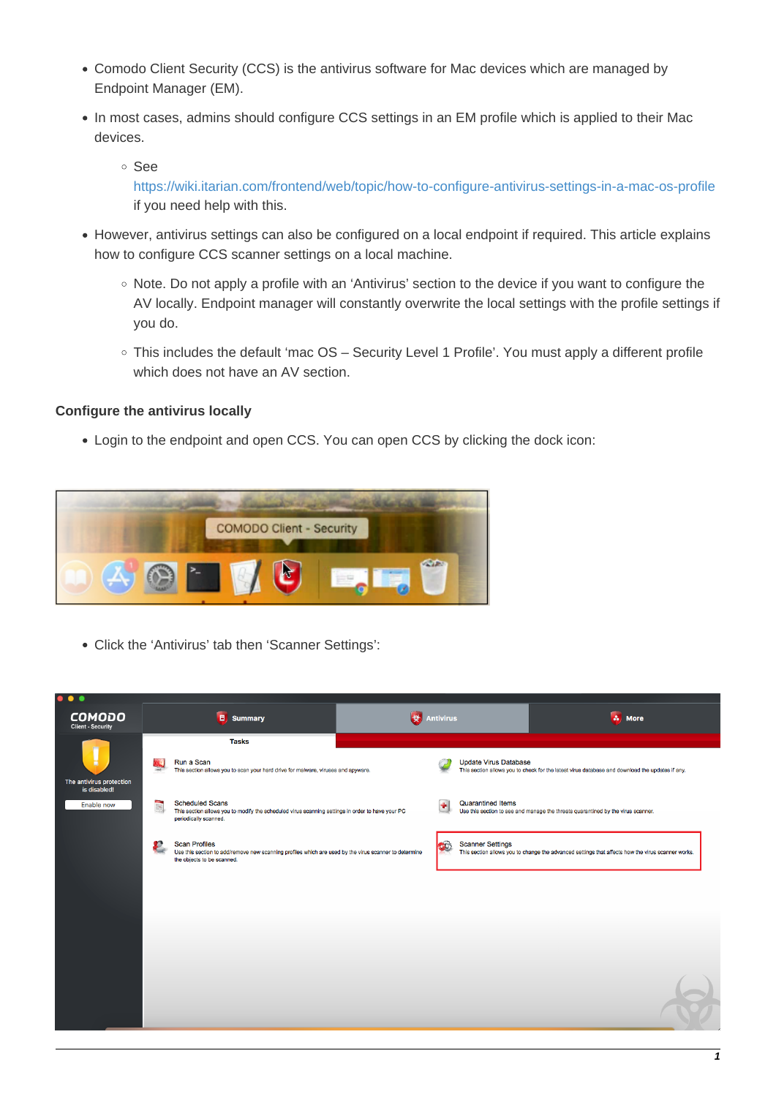- Comodo Client Security (CCS) is the antivirus software for Mac devices which are managed by Endpoint Manager (EM).
- In most cases, admins should configure CCS settings in an EM profile which is applied to their Mac devices.
	- See

<https://wiki.itarian.com/frontend/web/topic/how-to-configure-antivirus-settings-in-a-mac-os-profile> if you need help with this.

- However, antivirus settings can also be configured on a local endpoint if required. This article explains how to configure CCS scanner settings on a local machine.
	- $\circ$  Note. Do not apply a profile with an 'Antivirus' section to the device if you want to configure the AV locally. Endpoint manager will constantly overwrite the local settings with the profile settings if you do.
	- This includes the default 'mac OS Security Level 1 Profile'. You must apply a different profile which does not have an AV section.

# **Configure the antivirus locally**

Login to the endpoint and open CCS. You can open CCS by clicking the dock icon:



Click the 'Antivirus' tab then 'Scanner Settings':

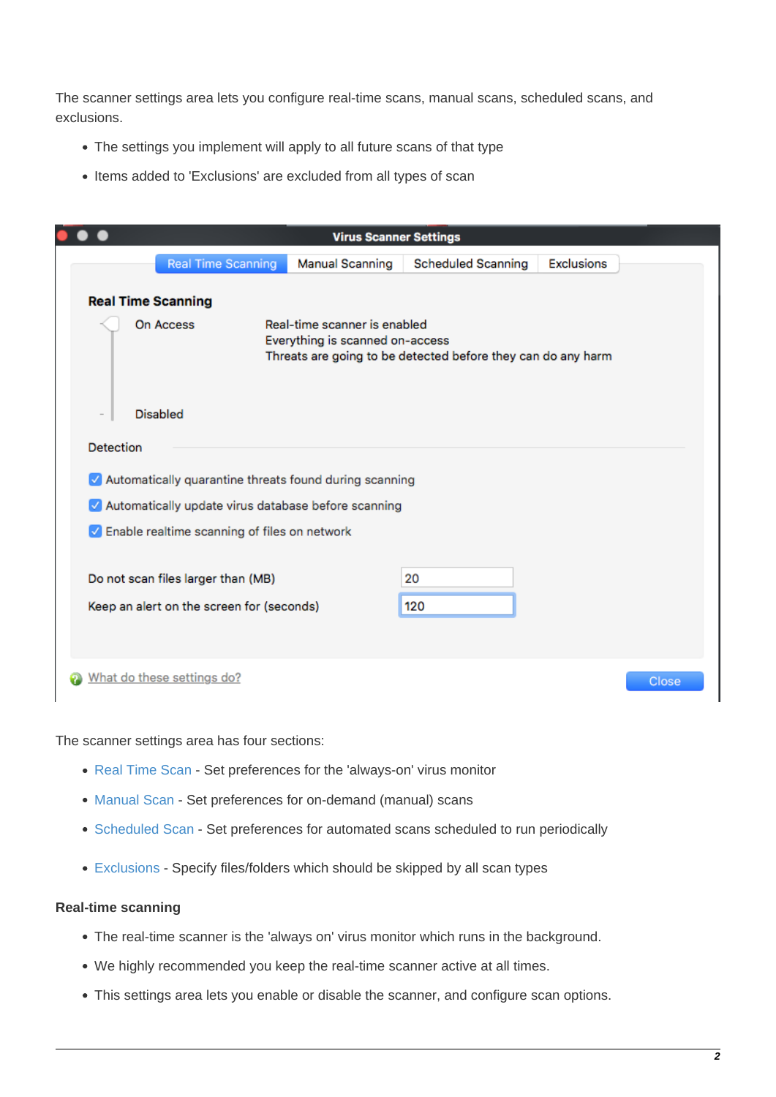The scanner settings area lets you configure real-time scans, manual scans, scheduled scans, and exclusions.

- The settings you implement will apply to all future scans of that type
- Items added to 'Exclusions' are excluded from all types of scan

|           |                            |                                                                                 |                                                                                                                                 | <b>Virus Scanner Settings</b> |                           |                   |
|-----------|----------------------------|---------------------------------------------------------------------------------|---------------------------------------------------------------------------------------------------------------------------------|-------------------------------|---------------------------|-------------------|
|           |                            | <b>Real Time Scanning</b>                                                       | <b>Manual Scanning</b>                                                                                                          |                               | <b>Scheduled Scanning</b> | <b>Exclusions</b> |
|           | <b>Real Time Scanning</b>  |                                                                                 |                                                                                                                                 |                               |                           |                   |
|           | On Access                  |                                                                                 | Real-time scanner is enabled<br>Everything is scanned on-access<br>Threats are going to be detected before they can do any harm |                               |                           |                   |
|           | <b>Disabled</b>            |                                                                                 |                                                                                                                                 |                               |                           |                   |
| Detection |                            |                                                                                 |                                                                                                                                 |                               |                           |                   |
|           |                            |                                                                                 | Automatically quarantine threats found during scanning                                                                          |                               |                           |                   |
|           |                            |                                                                                 | Automatically update virus database before scanning                                                                             |                               |                           |                   |
|           |                            |                                                                                 | $\sqrt{\phantom{a}}$ Enable realtime scanning of files on network                                                               |                               |                           |                   |
|           |                            | Do not scan files larger than (MB)<br>Keep an alert on the screen for (seconds) |                                                                                                                                 | 20<br>120                     |                           |                   |
|           | What do these settings do? |                                                                                 |                                                                                                                                 |                               |                           |                   |

The scanner settings area has four sections:

- [Real Time Scan](#page-1-0)  Set preferences for the 'always-on' virus monitor
- [Manual Scan](#page--1-0)  Set preferences for on-demand (manual) scans
- [Scheduled Scan](#page-4-0)  Set preferences for automated scans scheduled to run periodically
- [Exclusions](#page-5-0)  Specify files/folders which should be skipped by all scan types

### <span id="page-1-0"></span>**Real-time scanning**

- The real-time scanner is the 'always on' virus monitor which runs in the background.
- We highly recommended you keep the real-time scanner active at all times.
- This settings area lets you enable or disable the scanner, and configure scan options.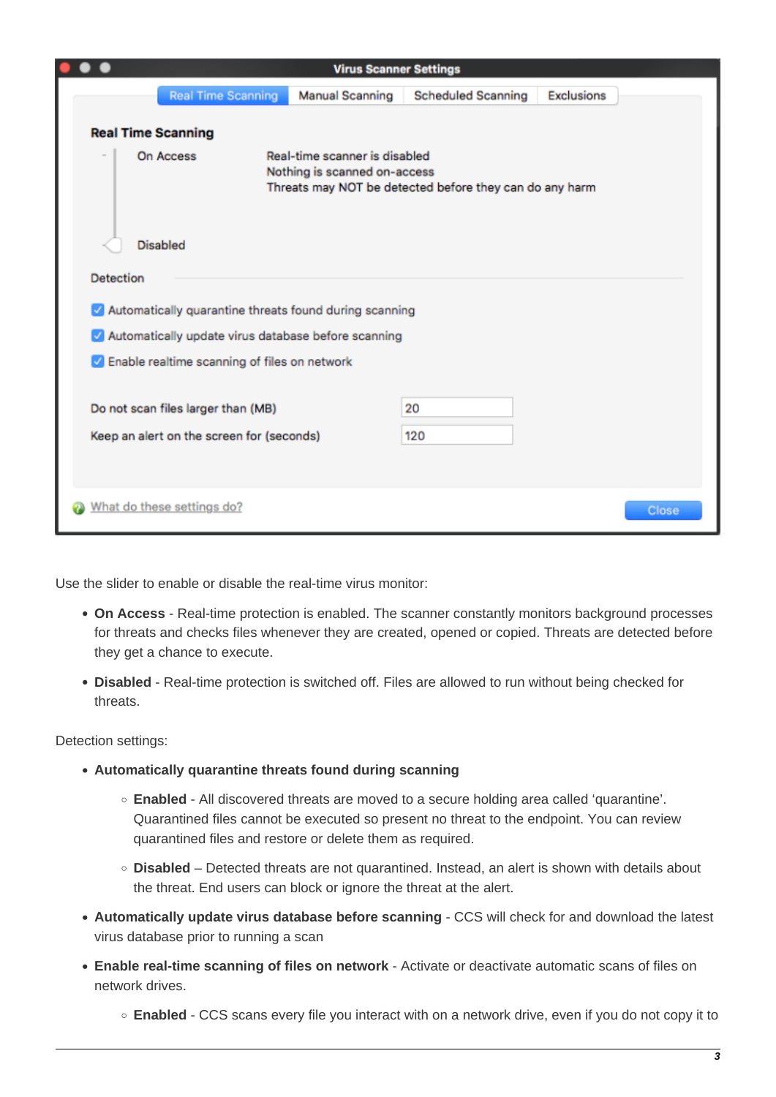|                            |                 |                                                                                 |                                                               | <b>Virus Scanner Settings</b>                           |                   |
|----------------------------|-----------------|---------------------------------------------------------------------------------|---------------------------------------------------------------|---------------------------------------------------------|-------------------|
|                            |                 | <b>Real Time Scanning</b>                                                       | <b>Manual Scanning</b>                                        | <b>Scheduled Scanning</b>                               | <b>Exclusions</b> |
| <b>Real Time Scanning</b>  |                 |                                                                                 |                                                               |                                                         |                   |
|                            | On Access       |                                                                                 | Real-time scanner is disabled<br>Nothing is scanned on-access | Threats may NOT be detected before they can do any harm |                   |
|                            | <b>Disabled</b> |                                                                                 |                                                               |                                                         |                   |
| <b>Detection</b>           |                 |                                                                                 |                                                               |                                                         |                   |
|                            |                 |                                                                                 | Automatically quarantine threats found during scanning        |                                                         |                   |
|                            |                 |                                                                                 | Automatically update virus database before scanning           |                                                         |                   |
|                            |                 |                                                                                 | Relative scanning of files on network                         |                                                         |                   |
|                            |                 | Do not scan files larger than (MB)<br>Keep an alert on the screen for (seconds) |                                                               | 20<br>120                                               |                   |
| What do these settings do? |                 |                                                                                 |                                                               |                                                         |                   |

Use the slider to enable or disable the real-time virus monitor:

- **On Access** Real-time protection is enabled. The scanner constantly monitors background processes for threats and checks files whenever they are created, opened or copied. Threats are detected before they get a chance to execute.
- **Disabled** Real-time protection is switched off. Files are allowed to run without being checked for threats.

<span id="page-2-0"></span>Detection settings:

- **Automatically quarantine threats found during scanning**
	- **Enabled** All discovered threats are moved to a secure holding area called 'quarantine'. Quarantined files cannot be executed so present no threat to the endpoint. You can review quarantined files and restore or delete them as required.
	- **Disabled**  Detected threats are not quarantined. Instead, an alert is shown with details about the threat. End users can block or ignore the threat at the alert.
- <span id="page-2-1"></span>**Automatically update virus database before scanning** - CCS will check for and download the latest virus database prior to running a scan
- **Enable real-time scanning of files on network** Activate or deactivate automatic scans of files on network drives.
	- **Enabled** CCS scans every file you interact with on a network drive, even if you do not copy it to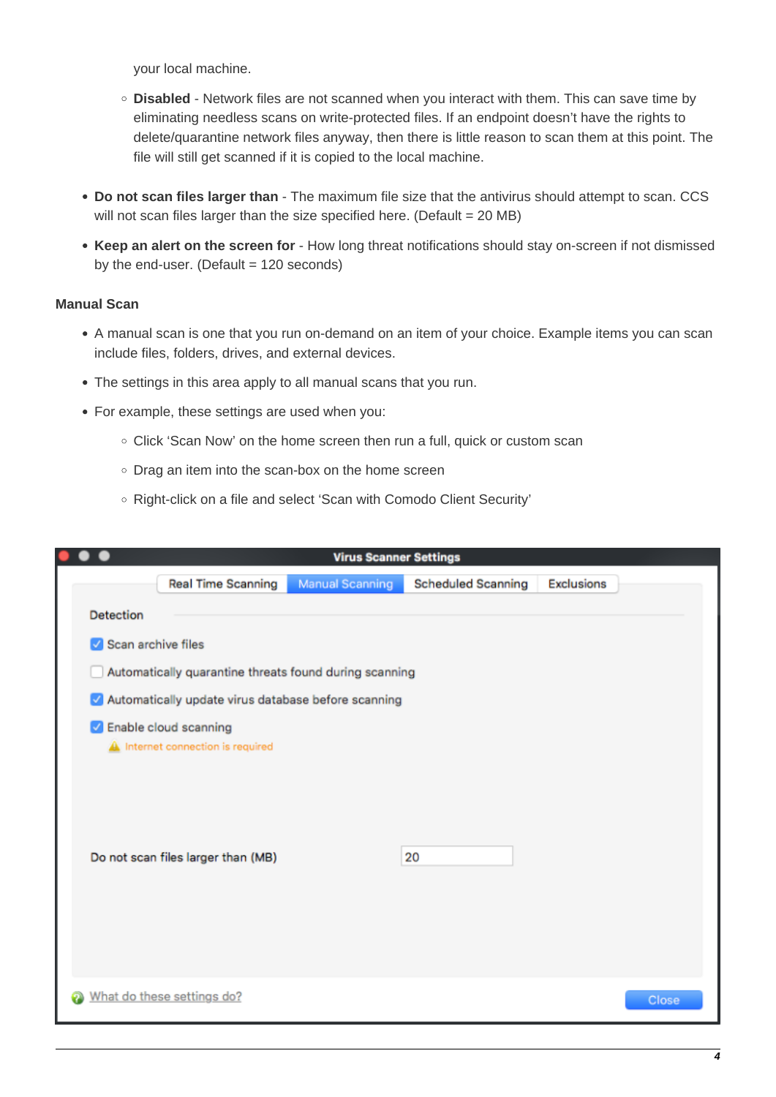your local machine.

- **Disabled** Network files are not scanned when you interact with them. This can save time by eliminating needless scans on write-protected files. If an endpoint doesn't have the rights to delete/quarantine network files anyway, then there is little reason to scan them at this point. The file will still get scanned if it is copied to the local machine.
- <span id="page-3-0"></span>**Do not scan files larger than** - The maximum file size that the antivirus should attempt to scan. CCS will not scan files larger than the size specified here. (Default = 20 MB)
- **Keep an alert on the screen for** How long threat notifications should stay on-screen if not dismissed by the end-user. (Default  $= 120$  seconds)

### **Manual Scan**

- A manual scan is one that you run on-demand on an item of your choice. Example items you can scan include files, folders, drives, and external devices.
- The settings in this area apply to all manual scans that you run.
- For example, these settings are used when you:
	- Click 'Scan Now' on the home screen then run a full, quick or custom scan
	- o Drag an item into the scan-box on the home screen
	- o Right-click on a file and select 'Scan with Comodo Client Security'

|                    |                                                        | <b>Virus Scanner Settings</b> |                           |                   |
|--------------------|--------------------------------------------------------|-------------------------------|---------------------------|-------------------|
|                    | <b>Real Time Scanning</b>                              | <b>Manual Scanning</b>        | <b>Scheduled Scanning</b> | <b>Exclusions</b> |
| <b>Detection</b>   |                                                        |                               |                           |                   |
| Scan archive files |                                                        |                               |                           |                   |
|                    | Automatically quarantine threats found during scanning |                               |                           |                   |
|                    | Automatically update virus database before scanning    |                               |                           |                   |
|                    | Related Scanning<br>A Internet connection is required  |                               |                           |                   |
|                    | Do not scan files larger than (MB)                     |                               | 20                        |                   |
|                    |                                                        |                               |                           |                   |
|                    | What do these settings do?                             |                               |                           | Close             |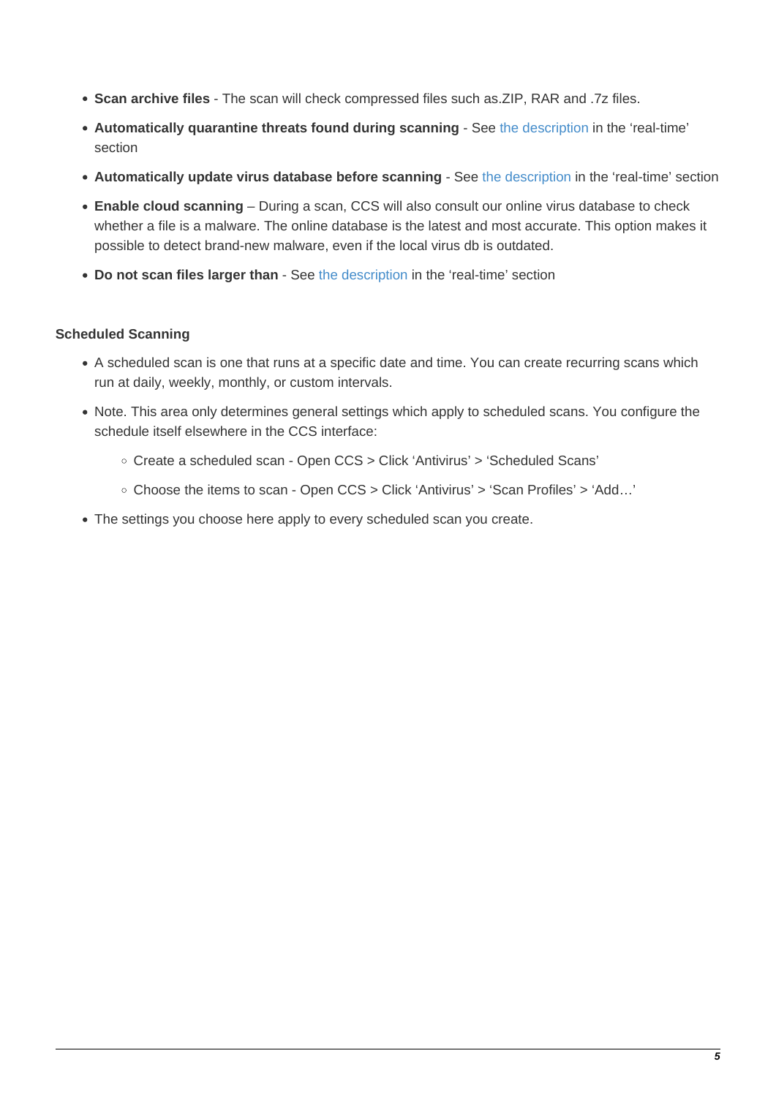- <span id="page-4-1"></span>**Scan archive files** - The scan will check compressed files such as.ZIP, RAR and .7z files.
- **Automatically quarantine threats found during scanning** See [the description](#page-2-0) in the 'real-time' section
- **Automatically update virus database before scanning**  See [the description](#page-2-1) in the 'real-time' section
- **Enable cloud scanning**  During a scan, CCS will also consult our online virus database to check whether a file is a malware. The online database is the latest and most accurate. This option makes it possible to detect brand-new malware, even if the local virus db is outdated.
- **Do not scan files larger than** See [the description](#page-3-0) in the 'real-time' section

### <span id="page-4-0"></span>**Scheduled Scanning**

- A scheduled scan is one that runs at a specific date and time. You can create recurring scans which run at daily, weekly, monthly, or custom intervals.
- Note. This area only determines general settings which apply to scheduled scans. You configure the schedule itself elsewhere in the CCS interface:
	- Create a scheduled scan Open CCS > Click 'Antivirus' > 'Scheduled Scans'
	- Choose the items to scan Open CCS > Click 'Antivirus' > 'Scan Profiles' > 'Add…'
- The settings you choose here apply to every scheduled scan you create.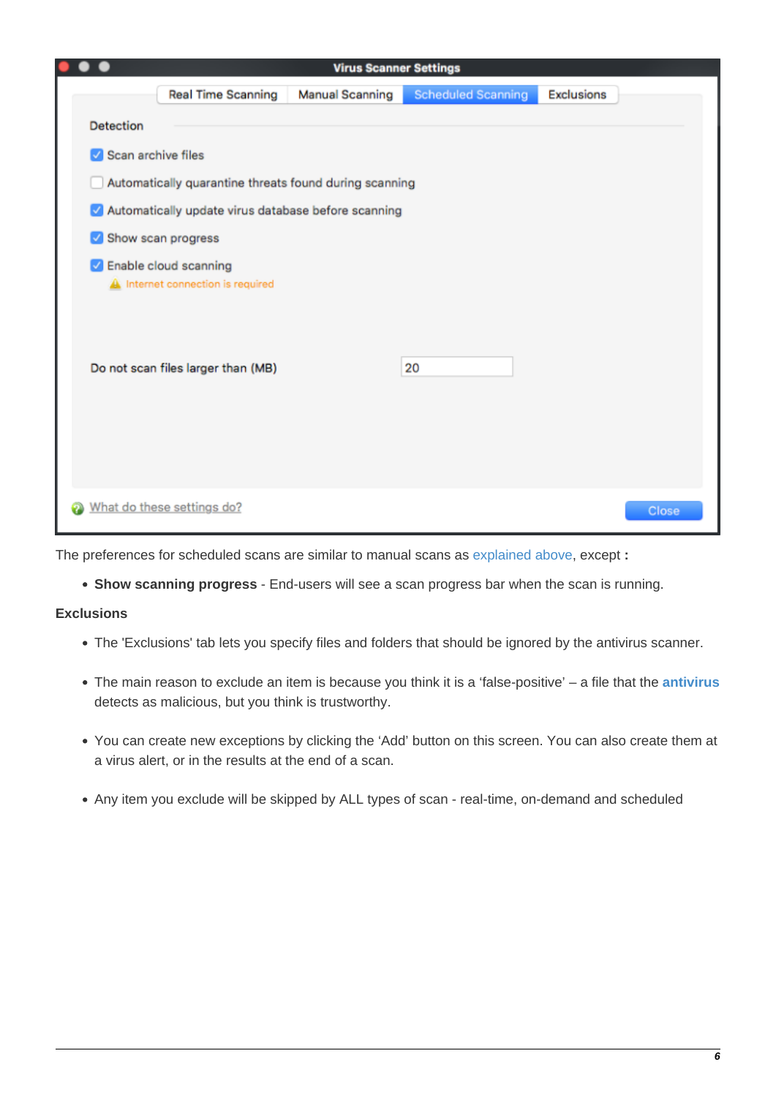|                    |                                                              | <b>Virus Scanner Settings</b> |                           |                   |
|--------------------|--------------------------------------------------------------|-------------------------------|---------------------------|-------------------|
|                    | <b>Real Time Scanning</b>                                    | <b>Manual Scanning</b>        | <b>Scheduled Scanning</b> | <b>Exclusions</b> |
| <b>Detection</b>   |                                                              |                               |                           |                   |
| Scan archive files |                                                              |                               |                           |                   |
|                    | Automatically quarantine threats found during scanning       |                               |                           |                   |
|                    | Automatically update virus database before scanning          |                               |                           |                   |
|                    | Show scan progress                                           |                               |                           |                   |
|                    | C Enable cloud scanning<br>A Internet connection is required |                               |                           |                   |
|                    | Do not scan files larger than (MB)                           |                               | 20                        |                   |
|                    |                                                              |                               |                           |                   |
|                    |                                                              |                               |                           |                   |
|                    | What do these settings do?                                   |                               |                           |                   |

The preferences for scheduled scans are similar to manual scans as [explained above](#page-4-1), except **:**

**Show scanning progress** - End-users will see a scan progress bar when the scan is running.

# <span id="page-5-0"></span>**Exclusions**

- The 'Exclusions' tab lets you specify files and folders that should be ignored by the antivirus scanner.
- The main reason to exclude an item is because you think it is a 'false-positive' a file that the **[antivirus](https://antivirus.comodo.com/)** detects as malicious, but you think is trustworthy.
- You can create new exceptions by clicking the 'Add' button on this screen. You can also create them at a virus alert, or in the results at the end of a scan.
- Any item you exclude will be skipped by ALL types of scan real-time, on-demand and scheduled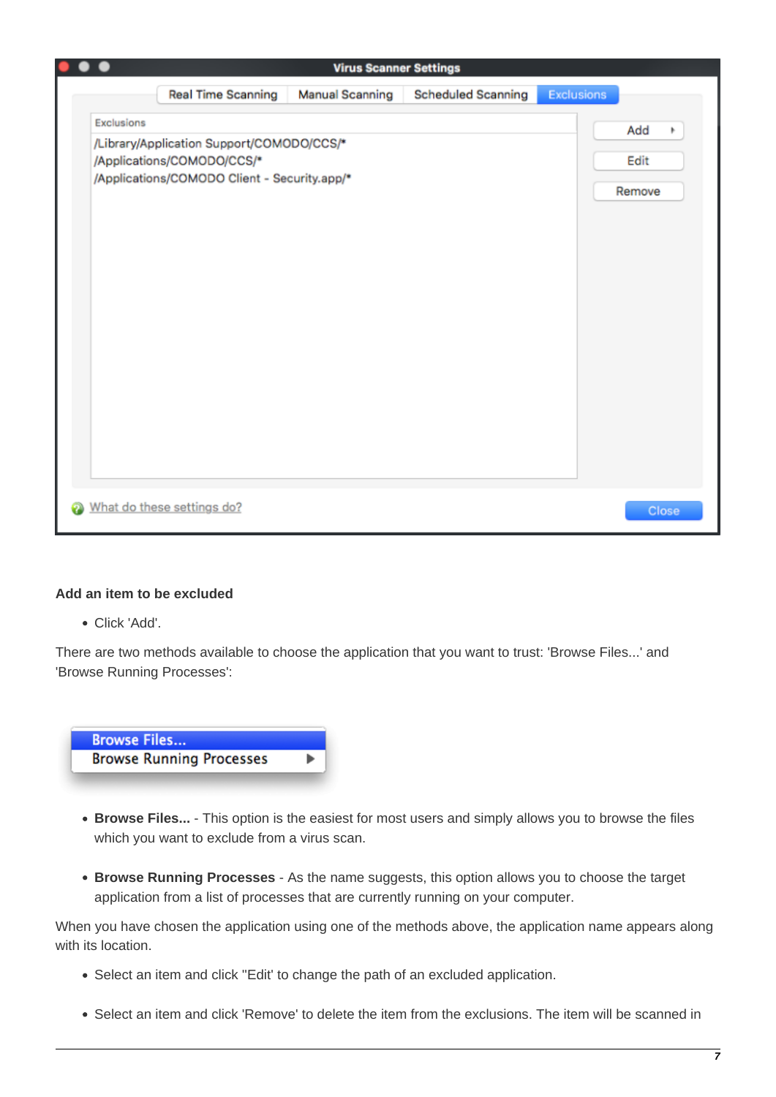|                                                                            | <b>Virus Scanner Settings</b> |                                           |                   |          |
|----------------------------------------------------------------------------|-------------------------------|-------------------------------------------|-------------------|----------|
| <b>Real Time Scanning</b>                                                  | <b>Manual Scanning</b>        | <b>Scheduled Scanning</b>                 | <b>Exclusions</b> |          |
|                                                                            |                               |                                           |                   | Add<br>۰ |
| /Applications/COMODO/CCS/*<br>/Applications/COMODO Client - Security.app/* |                               |                                           |                   |          |
|                                                                            |                               |                                           |                   |          |
|                                                                            |                               |                                           |                   |          |
|                                                                            |                               |                                           |                   |          |
|                                                                            |                               |                                           |                   |          |
|                                                                            |                               |                                           |                   |          |
|                                                                            |                               |                                           |                   |          |
|                                                                            |                               |                                           |                   |          |
|                                                                            |                               |                                           |                   |          |
|                                                                            |                               |                                           |                   |          |
| What do these settings do?                                                 |                               |                                           |                   | Close    |
|                                                                            |                               | /Library/Application Support/COMODO/CCS/* |                   | Remove   |

# **Add an item to be excluded**

Click 'Add'.

There are two methods available to choose the application that you want to trust: 'Browse Files...' and 'Browse Running Processes':



- **Browse Files...** This option is the easiest for most users and simply allows you to browse the files which you want to exclude from a virus scan.
- **Browse Running Processes** As the name suggests, this option allows you to choose the target application from a list of processes that are currently running on your computer.

When you have chosen the application using one of the methods above, the application name appears along with its location.

- Select an item and click ''Edit' to change the path of an excluded application.
- Select an item and click 'Remove' to delete the item from the exclusions. The item will be scanned in